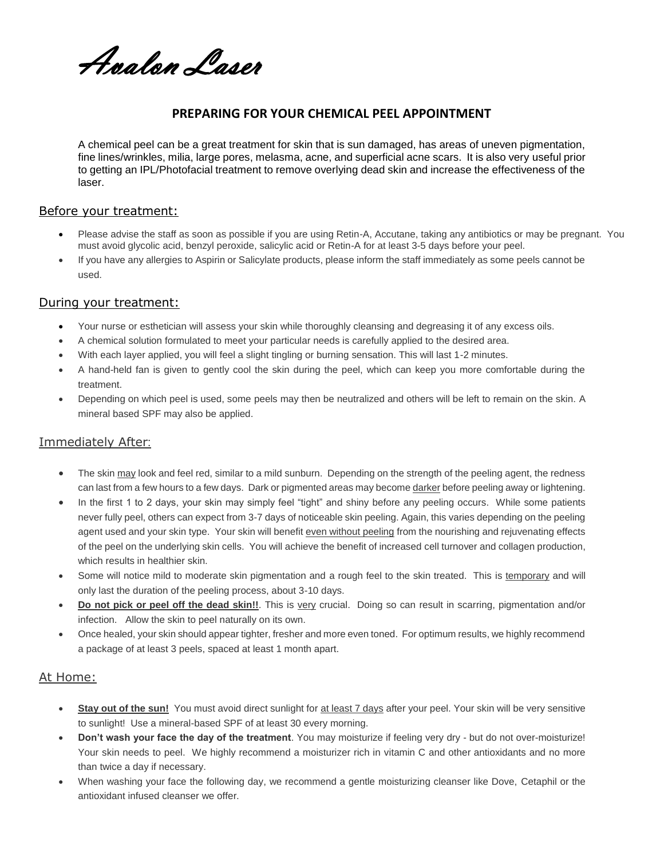Avalon Laser

# **PREPARING FOR YOUR CHEMICAL PEEL APPOINTMENT**

A chemical peel can be a great treatment for skin that is sun damaged, has areas of uneven pigmentation, fine lines/wrinkles, milia, large pores, melasma, acne, and superficial acne scars. It is also very useful prior to getting an IPL/Photofacial treatment to remove overlying dead skin and increase the effectiveness of the laser.

#### Before your treatment:

- Please advise the staff as soon as possible if you are using Retin-A, Accutane, taking any antibiotics or may be pregnant. You must avoid glycolic acid, benzyl peroxide, salicylic acid or Retin-A for at least 3-5 days before your peel.
- If you have any allergies to Aspirin or Salicylate products, please inform the staff immediately as some peels cannot be used.

#### During your treatment:

- Your nurse or esthetician will assess your skin while thoroughly cleansing and degreasing it of any excess oils.
- A chemical solution formulated to meet your particular needs is carefully applied to the desired area.
- With each layer applied, you will feel a slight tingling or burning sensation. This will last 1-2 minutes.
- A hand-held fan is given to gently cool the skin during the peel, which can keep you more comfortable during the treatment.
- Depending on which peel is used, some peels may then be neutralized and others will be left to remain on the skin. A mineral based SPF may also be applied.

### Immediately After:

- The skin may look and feel red, similar to a mild sunburn. Depending on the strength of the peeling agent, the redness can last from a few hours to a few days. Dark or pigmented areas may become darker before peeling away or lightening.
- In the first 1 to 2 days, your skin may simply feel "tight" and shiny before any peeling occurs. While some patients never fully peel, others can expect from 3-7 days of noticeable skin peeling. Again, this varies depending on the peeling agent used and your skin type. Your skin will benefit even without peeling from the nourishing and rejuvenating effects of the peel on the underlying skin cells. You will achieve the benefit of increased cell turnover and collagen production, which results in healthier skin.
- Some will notice mild to moderate skin pigmentation and a rough feel to the skin treated. This is temporary and will only last the duration of the peeling process, about 3-10 days.
- **Do not pick or peel off the dead skin!!**. This is very crucial. Doing so can result in scarring, pigmentation and/or infection. Allow the skin to peel naturally on its own.
- Once healed, your skin should appear tighter, fresher and more even toned. For optimum results, we highly recommend a package of at least 3 peels, spaced at least 1 month apart.

### At Home:

- **Stay out of the sun!** You must avoid direct sunlight for at least 7 days after your peel. Your skin will be very sensitive to sunlight! Use a mineral-based SPF of at least 30 every morning.
- **Don't wash your face the day of the treatment**. You may moisturize if feeling very dry but do not over-moisturize! Your skin needs to peel. We highly recommend a moisturizer rich in vitamin C and other antioxidants and no more than twice a day if necessary.
- When washing your face the following day, we recommend a gentle moisturizing cleanser like Dove, Cetaphil or the antioxidant infused cleanser we offer.